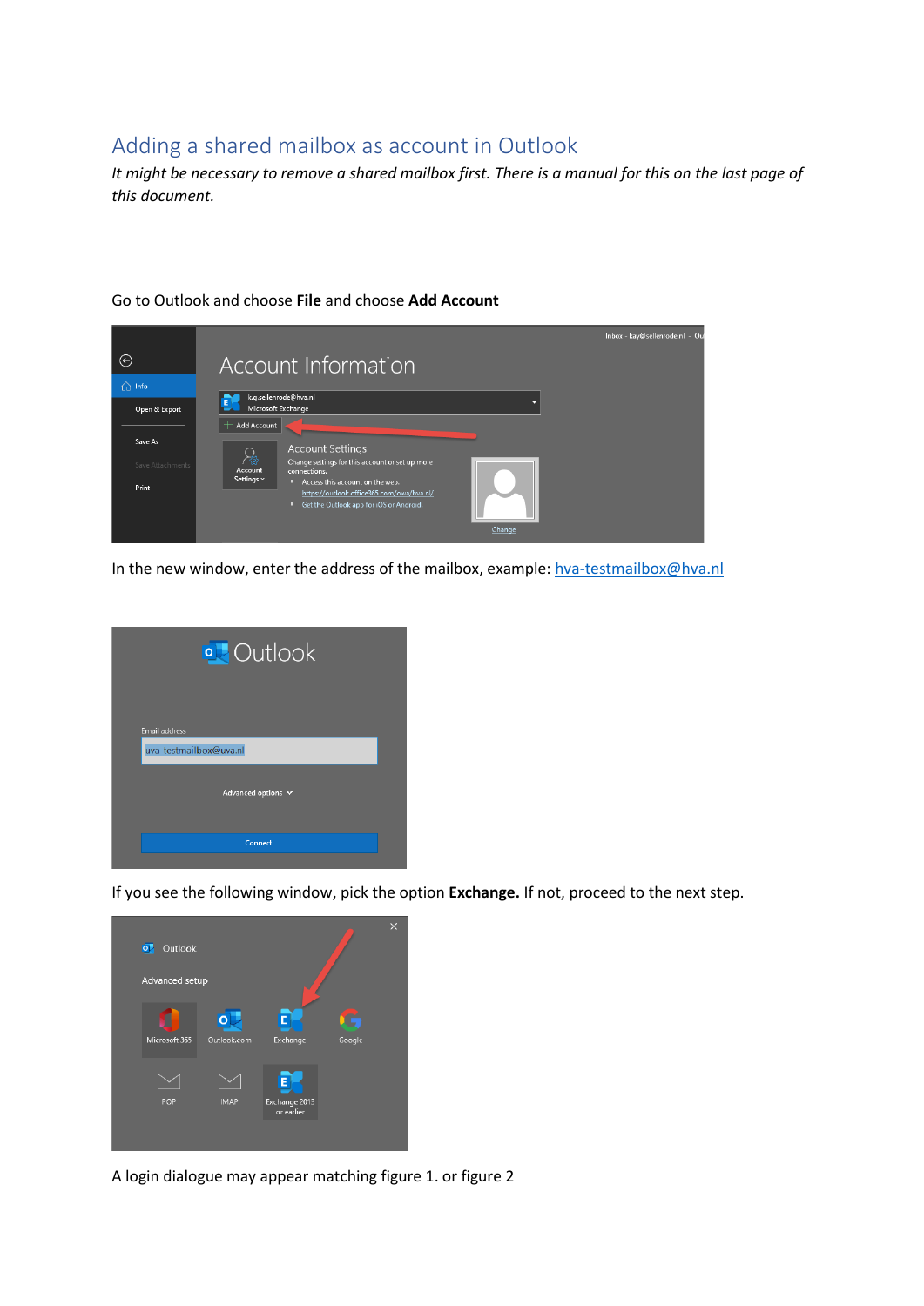## Adding a shared mailbox as account in Outlook

*It might be necessary to remove a shared mailbox first. There is a manual for this on the last page of this document.*



## Go to Outlook and choose **File** and choose **Add Account**

In the new window, enter the address of the mailbox, example: [hva-testmailbox@hva.nl](mailto:hva-testmailbox@hva.nl)



If you see the following window, pick the option **Exchange.** If not, proceed to the next step.

| $\overline{\mathbf{o}}$ | Outlook        |                  |                                  |        | $\times$ |
|-------------------------|----------------|------------------|----------------------------------|--------|----------|
|                         | Advanced setup |                  |                                  |        |          |
|                         | Microsoft 365  | Ō<br>Outlook.com | E<br>Exchange                    | Google |          |
|                         |                |                  |                                  |        |          |
|                         | POP            | <b>IMAP</b>      | Е<br>Exchange 2013<br>or earlier |        |          |
|                         |                |                  |                                  |        |          |

A login dialogue may appear matching figure 1. or figure 2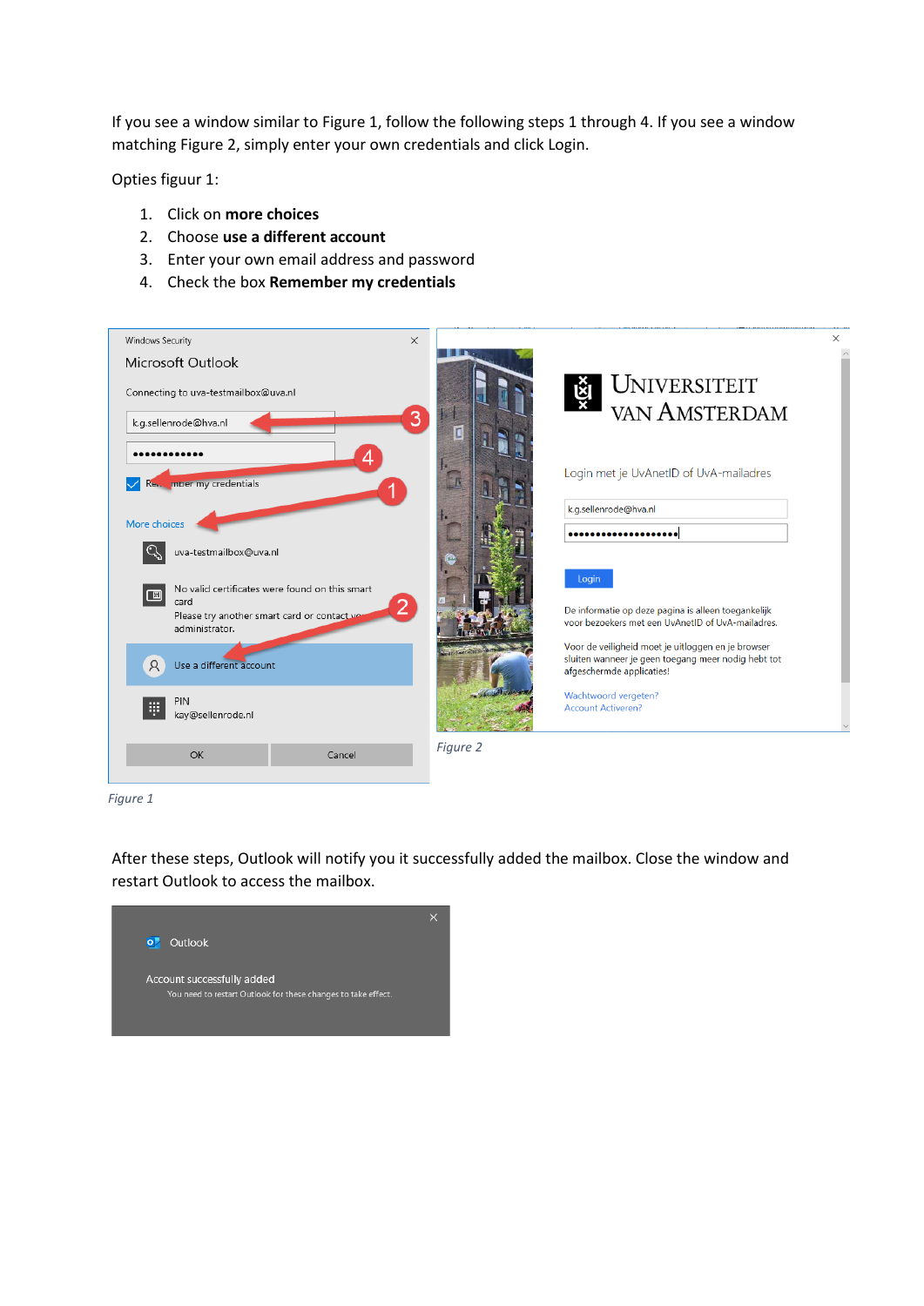If you see a window similar to Figure 1, follow the following steps 1 through 4. If you see a window matching Figure 2, simply enter your own credentials and click Login.

Opties figuur 1:

- 1. Click on **more choices**
- 2. Choose **use a different account**
- 3. Enter your own email address and password
- 4. Check the box **Remember my credentials**



*Figure 1*

After these steps, Outlook will notify you it successfully added the mailbox. Close the window and restart Outlook to access the mailbox.